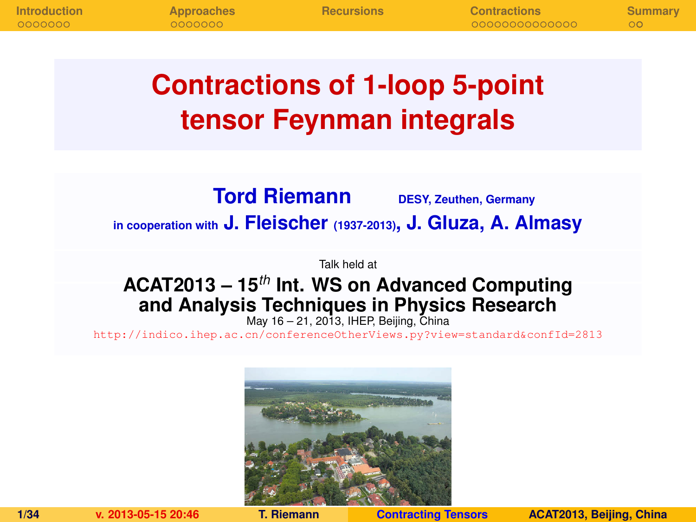**[Introduction](#page-1-0) [Approaches](#page-8-0) [Recursions](#page-15-0) [Contractions](#page-15-0) [Summary](#page-29-0)**

## **Contractions of 1-loop 5-point tensor Feynman integrals**

**Tord Riemann DESY, Zeuthen, Germany in cooperation with J. Fleischer (1937-2013), J. Gluza, A. Almasy**

Talk held at

### **ACAT2013 – 15***th* **Int. WS on Advanced Computing and Analysis Techniques in Physics Research** May 16 – 21, 2013, IHEP, Beijing, China

[http://indico.ihep.ac.cn/conferenceOtherViews.py?view=standard&confId=2813]( http://indico.ihep.ac.cn/conferenceOtherViews.py?view=standard&confId=2813 )



<span id="page-0-0"></span>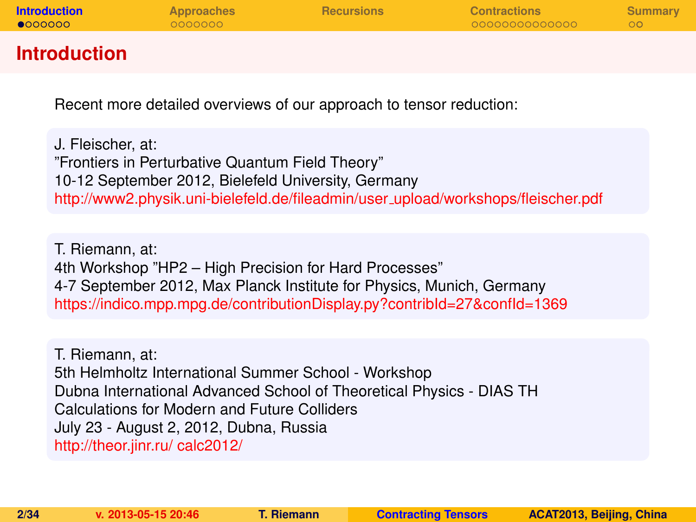| <b>Introduction</b> | Approaches | <b>Recursions</b> | <b>Contractions</b> | Summary |
|---------------------|------------|-------------------|---------------------|---------|
| $\bullet$ 000000    | 0000000    |                   | 00000000000000      | ററ      |
| <b>Introduction</b> |            |                   |                     |         |

Recent more detailed overviews of our approach to tensor reduction:

J. Fleischer, at: "Frontiers in Perturbative Quantum Field Theory" 10-12 September 2012, Bielefeld University, Germany [http://www2.physik.uni-bielefeld.de/fileadmin/user](http://www2.physik.uni-bielefeld.de/fileadmin/user_upload/workshops/fleischer.pdf) upload/workshops/fleischer.pdf

T. Riemann, at: 4th Workshop "HP2 – High Precision for Hard Processes" 4-7 September 2012, Max Planck Institute for Physics, Munich, Germany <https://indico.mpp.mpg.de/contributionDisplay.py?contribId=27&confId=1369>

<span id="page-1-0"></span>T. Riemann, at: 5th Helmholtz International Summer School - Workshop Dubna International Advanced School of Theoretical Physics - DIAS TH Calculations for Modern and Future Colliders July 23 - August 2, 2012, Dubna, Russia [http://theor.jinr.ru/ calc2012/](http://theor.jinr.ru/~calc2012/)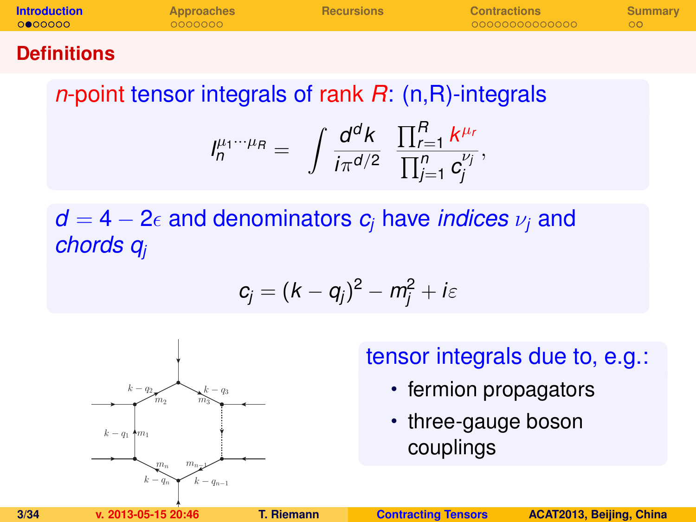| <b>Introduction</b><br>0000000    | Approaches<br>0000000 | <b>Recursions</b> | <b>Contractions</b><br>00000000000000 | Summary |
|-----------------------------------|-----------------------|-------------------|---------------------------------------|---------|
| and the state of the state of the |                       |                   |                                       |         |

#### **Definitions**

*n*-point tensor integrals of rank *R*: (n,R)-integrals

$$
I_n^{\mu_1\cdots\mu_R} = \int \frac{d^dk}{i\pi^{d/2}} \frac{\prod_{r=1}^R k^{\mu_r}}{\prod_{j=1}^n c_j^{\nu_j}},
$$

 $d = 4 - 2\epsilon$  and denominators  $c_i$  have *indices*  $\nu_i$  and *chords q<sup>j</sup>*

$$
c_j=(k-q_j)^2-m_j^2+i\varepsilon
$$



### tensor integrals due to, e.g.:

- fermion propagators
- three-gauge boson couplings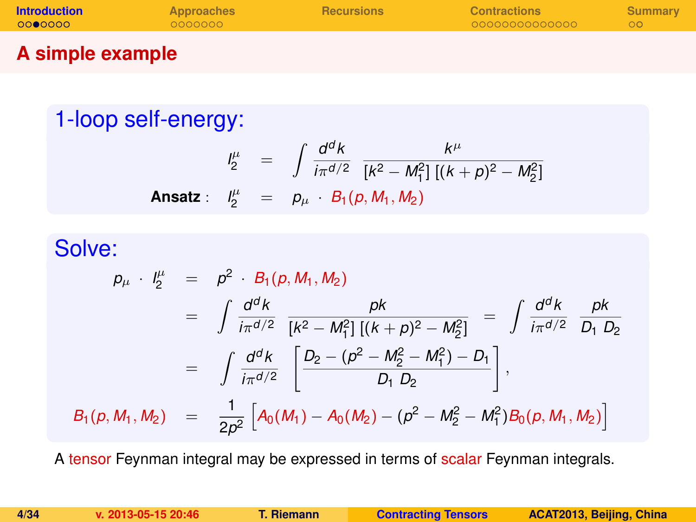| <b>Introduction</b><br>0000000 | <b>Approaches</b><br>looooooo | <b>Recursions</b> | <b>Contractions</b><br>00000000000000 | Summary |
|--------------------------------|-------------------------------|-------------------|---------------------------------------|---------|
| A simple example               |                               |                   |                                       |         |

# 1-loop self-energy:

$$
I_2^{\mu} = \int \frac{d^d k}{i\pi^{d/2}} \frac{k^{\mu}}{[k^2 - M_1^2] [(k + p)^2 - M_2^2]}
$$
  
Ansatz :  $I_2^{\mu} = p_{\mu} \cdot B_1(p, M_1, M_2)$ 

### Solve:

$$
p_{\mu} \cdot l_2^{\mu} = p^2 \cdot B_1(p, M_1, M_2)
$$
  
\n
$$
= \int \frac{d^d k}{i\pi^{d/2}} \frac{pk}{[k^2 - M_1^2] [(k + p)^2 - M_2^2]} = \int \frac{d^d k}{i\pi^{d/2}} \frac{pk}{D_1 D_2}
$$
  
\n
$$
= \int \frac{d^d k}{i\pi^{d/2}} \left[ \frac{D_2 - (p^2 - M_2^2 - M_1^2) - D_1}{D_1 D_2} \right],
$$
  
\n
$$
B_1(p, M_1, M_2) = \frac{1}{2p^2} \left[ A_0(M_1) - A_0(M_2) - (p^2 - M_2^2 - M_1^2) B_0(p, M_1, M_2) \right]
$$

A tensor Feynman integral may be expressed in terms of scalar Feynman integrals.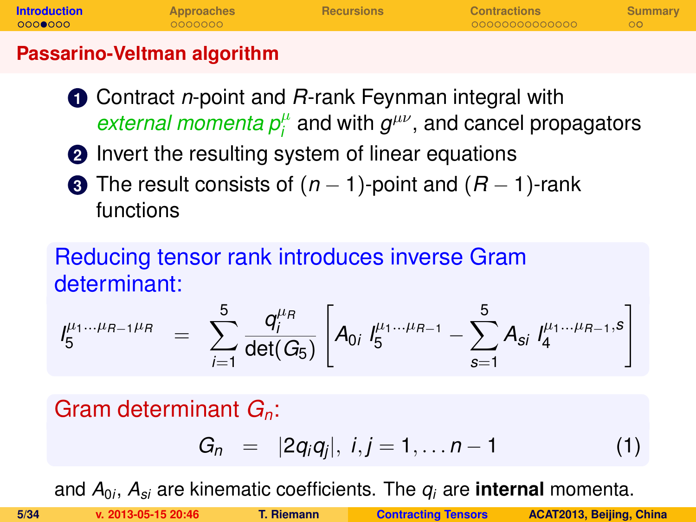| <b>Introduction</b> | <b>Approaches</b>           | <b>Recursions</b> | Contractions   | Summary |
|---------------------|-----------------------------|-------------------|----------------|---------|
| 0000000             | looooooo                    |                   | 00000000000000 | ററ      |
|                     | Doccaring Valtman algorithm |                   |                |         |

### **Passarino-Veltman algorithm**

- **1** Contract *n*-point and *R*-rank Feynman integral with  $external momenta  $p_i^{\mu}$  and with  $g^{\mu\nu}$ , and cancel propagators$
- **2** Invert the resulting system of linear equations
- **<sup>3</sup>** The result consists of (*n* − 1)-point and (*R* − 1)-rank functions

Reducing tensor rank introduces inverse Gram determinant:

$$
I_5^{\mu_1...\mu_{R-1}\mu_R} = \sum_{i=1}^5 \frac{q_i^{\mu_R}}{\det(G_5)} \left[ A_{0i} I_5^{\mu_1...\mu_{R-1}} - \sum_{s=1}^5 A_{si} I_4^{\mu_1...\mu_{R-1},s} \right]
$$

### Gram determinant *Gn*:

$$
G_n = |2q_iq_j|, i,j = 1,...n-1
$$
 (1)

and *A*0*<sup>i</sup>* , *Asi* are kinematic coefficients. The *q<sup>i</sup>* are **internal** momenta.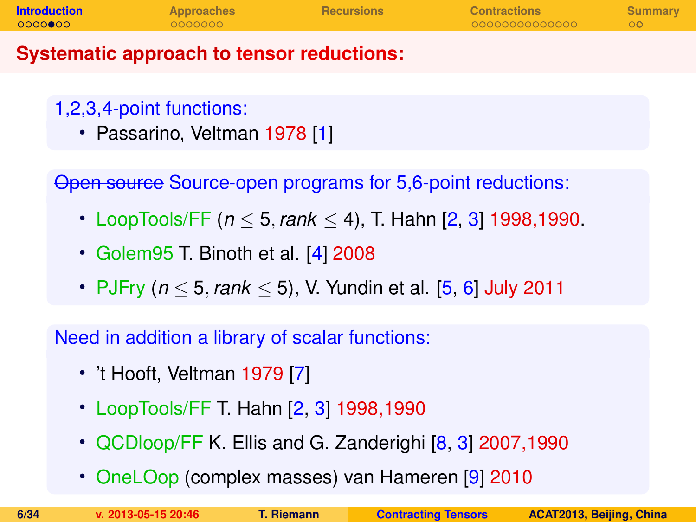| <b>Introduction</b><br>○○○○●○○ | <b>Approaches</b><br>0000000 | <b>Recursions</b> | <b>Contractions</b><br>00000000000000 | Summary |
|--------------------------------|------------------------------|-------------------|---------------------------------------|---------|
|                                |                              |                   |                                       |         |

#### **Systematic approach to tensor reductions:**

- 1,2,3,4-point functions:
	- Passarino, Veltman 1978 [\[1\]](#page-30-0)

Open source Source-open programs for 5,6-point reductions:

- LoopTools/FF (*n* ≤ 5, *rank* ≤ 4), T. Hahn [\[2,](#page-30-1) [3\]](#page-30-2) 1998,1990.
- Golem95 T. Binoth et al. [\[4\]](#page-30-3) 2008
- PJFry (*n* ≤ 5, *rank* ≤ 5), V. Yundin et al. [\[5,](#page-30-4) [6\]](#page-30-5) July 2011

Need in addition a library of scalar functions:

- 't Hooft, Veltman 1979 [\[7\]](#page-30-6)
- LoopTools/FF T. Hahn [\[2,](#page-30-1) [3\]](#page-30-2) 1998,1990
- QCDloop/FF K. Ellis and G. Zanderighi [\[8,](#page-31-0) [3\]](#page-30-2) 2007,1990
- OneLOop (complex masses) van Hameren [\[9\]](#page-31-1) 2010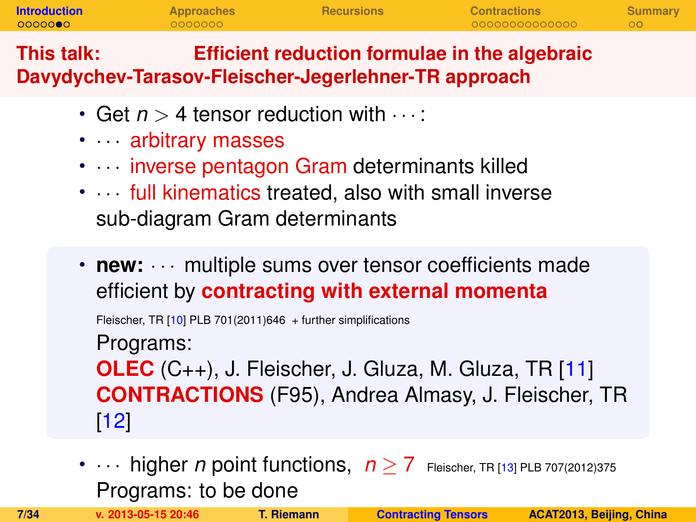| <b>Introduction</b> | Approaches | <b>Recursions</b> | <b>Contractions</b> | Summary |
|---------------------|------------|-------------------|---------------------|---------|
| 0000000             | 0000000    |                   | 00000000000000      |         |
|                     |            |                   |                     |         |

### **This talk: Efficient reduction formulae in the algebraic Davydychev-Tarasov-Fleischer-Jegerlehner-TR approach**

- Get  $n > 4$  tensor reduction with  $\cdots$ :
- arbitrary masses
- · · · inverse pentagon Gram determinants killed
- • full kinematics treated, also with small inverse sub-diagram Gram determinants
- **new:**  $\cdots$  multiple sums over tensor coefficients made efficient by **contracting with external momenta**

```
Fleischer, TR [10] PLB 701(2011)646 + further simplifications
```
### Programs: **OLEC** (C++), J. Fleischer, J. Gluza, M. Gluza, TR [\[11\]](#page-31-3) **CONTRACTIONS** (F95), Andrea Almasy, J. Fleischer, TR [\[12\]](#page-31-4)

•  $\cdots$  higher *n* point functions,  $n \geq 7$  Fleischer, TR [\[13\]](#page-31-5) PLB 707(2012)375 Programs: to be done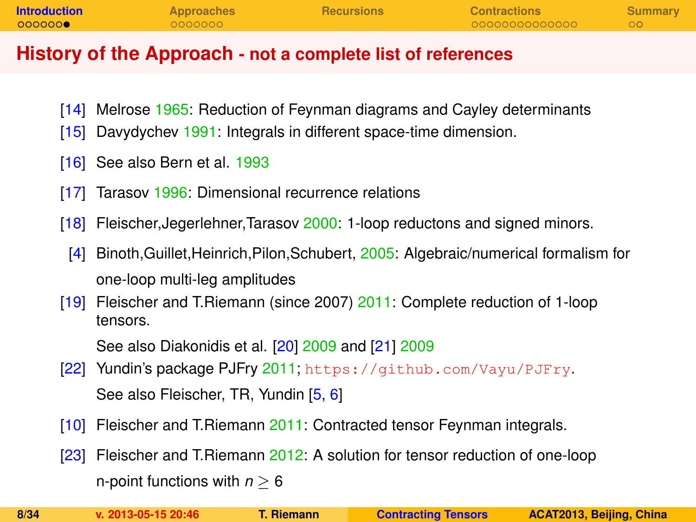| <b>Introduction</b> | Approaches | <b>Recursions</b> | Contractions   | Summary |
|---------------------|------------|-------------------|----------------|---------|
| ○○○○○○●             | 0000000    |                   | 00000000000000 |         |
|                     |            |                   |                |         |

#### **History of the Approach - not a complete list of references**

- [\[14\]](#page-31-6) Melrose 1965: Reduction of Feynman diagrams and Cayley determinants
- [\[15\]](#page-31-7) Davydychev 1991: Integrals in different space-time dimension.
- [\[16\]](#page-32-0) See also Bern et al. 1993
- [\[17\]](#page-32-1) Tarasov 1996: Dimensional recurrence relations
- [\[18\]](#page-32-2) Fleischer,Jegerlehner,Tarasov 2000: 1-loop reductons and signed minors.
	- [\[4\]](#page-30-3) Binoth,Guillet,Heinrich,Pilon,Schubert, 2005: Algebraic/numerical formalism for one-loop multi-leg amplitudes
- [\[19\]](#page-32-3) Fleischer and T.Riemann (since 2007) 2011: Complete reduction of 1-loop tensors.

See also Diakonidis et al. [\[20\]](#page-32-4) 2009 and [\[21\]](#page-32-5) 2009

- [\[22\]](#page-33-1) Yundin's package PJFry 2011; <https://github.com/Vayu/PJFry>. See also Fleischer, TR, Yundin [\[5,](#page-30-4) [6\]](#page-30-5)
- [\[10\]](#page-31-2) Fleischer and T.Riemann 2011: Contracted tensor Feynman integrals.
- [\[23\]](#page-33-2) Fleischer and T.Riemann 2012: A solution for tensor reduction of one-loop n-point functions with *n* ≥ 6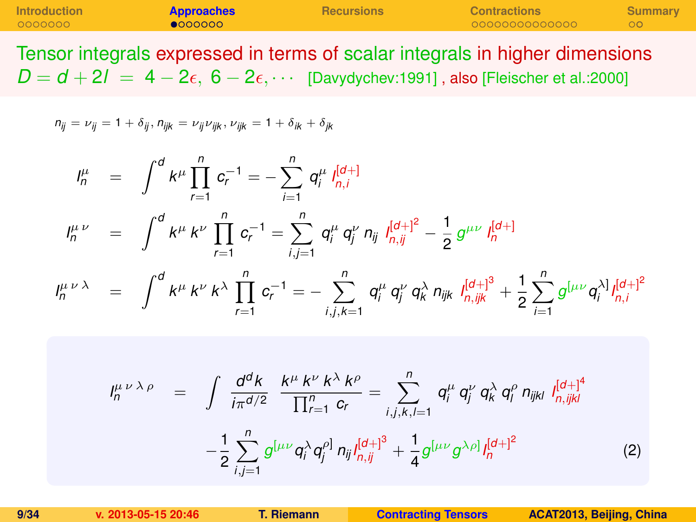| <b>Introduction</b> | <b>Approaches</b> | <b>Recursions</b> | <b>Contractions</b> | Summary |
|---------------------|-------------------|-------------------|---------------------|---------|
| 0000000             | $\bullet$ 000000  |                   | 00000000000000      |         |
|                     |                   |                   |                     |         |

Tensor integrals expressed in terms of scalar integrals in higher dimensions  $D = d + 2l = 4 - 2\epsilon$ ,  $6 - 2\epsilon$ ,  $\cdots$  [Davydychev:1991], also [Fleischer et al.:2000]

$$
n_{ij} = \nu_{ij} = 1 + \delta_{ij}, n_{ijk} = \nu_{ij}\nu_{ijk}, \nu_{ijk} = 1 + \delta_{ik} + \delta_{jk}
$$

$$
I_n^{\mu} = \int^d k^{\mu} \prod_{r=1}^n c_r^{-1} = -\sum_{i=1}^n q_i^{\mu} I_{n,i}^{[d+1]}
$$
  
\n
$$
I_n^{\mu\nu} = \int^d k^{\mu} k^{\nu} \prod_{r=1}^n c_r^{-1} = \sum_{i,j=1}^n q_i^{\mu} q_j^{\nu} n_{ij} I_{n,j}^{[d+1]^2} - \frac{1}{2} g^{\mu\nu} I_n^{[d+1]}
$$
  
\n
$$
I_n^{\mu\nu\lambda} = \int^d k^{\mu} k^{\nu} k^{\lambda} \prod_{r=1}^n c_r^{-1} = -\sum_{i,j,k=1}^n q_i^{\mu} q_j^{\nu} q_k^{\lambda} n_{ijk} I_{n,ijk}^{[d+1]^3} + \frac{1}{2} \sum_{i=1}^n g^{[\mu\nu} q_i^{\lambda} I_{n,i}^{[d+1]^2}
$$

<span id="page-8-0"></span>
$$
I_n^{\mu \nu \lambda \rho} = \int \frac{d^d k}{i\pi^{d/2}} \frac{k^{\mu} k^{\nu} k^{\lambda} k^{\rho}}{\prod_{r=1}^n c_r} = \sum_{i,j,k,l=1}^n q_i^{\mu} q_j^{\nu} q_k^{\lambda} q_l^{\rho} n_{ijkl} I_{n,ijkl}^{[d+1]}
$$

$$
-\frac{1}{2} \sum_{i,j=1}^n g^{[\mu \nu} q_i^{\lambda} q_j^{\rho]} n_{ij} I_{n,ij}^{[d+1]^3} + \frac{1}{4} g^{[\mu \nu} g^{\lambda \rho]} I_n^{[d+1]^2}
$$
(2)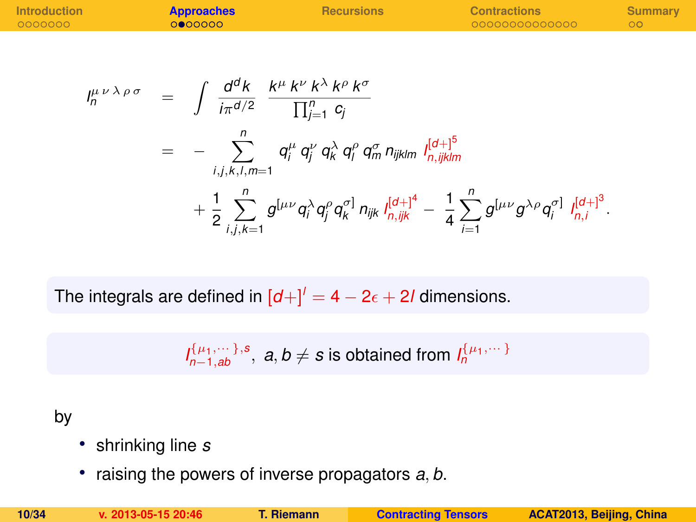| <b>Introduction</b><br>0000000 |  | <b>Approaches</b><br>0000000 | <b>Recursions</b>                                                                                                                                                                                                                              | <b>Contractions</b><br>00000000000000 | <b>Summary</b><br>$\circ$ o |
|--------------------------------|--|------------------------------|------------------------------------------------------------------------------------------------------------------------------------------------------------------------------------------------------------------------------------------------|---------------------------------------|-----------------------------|
|                                |  | $i, j, k, l, m = 1$          | $J_n^{\mu\nu\lambda\rho\sigma} = \int \frac{d^dk}{i\pi^{d/2}} \frac{k^{\mu}k^{\nu}k^{\lambda}k^{\rho}k^{\sigma}}{\prod_{i=1}^n c_i}$<br>$=$ $ \sum$ $q_i^{\mu} q_i^{\nu} q_k^{\lambda} q_i^{\rho} q_m^{\sigma} n_{ijklm} l_{n,ijklm}^{[d+]^b}$ |                                       |                             |
|                                |  |                              | $\hskip3cm + \frac{1}{2}\sum_{i,j,k=1}^{n}g^{[\mu\nu}q_{i}^{\lambda}q_{j}^{\rho}q_{k}^{\sigma]} \, n_{ijk}\, I_{n,ijk}^{[d+1]^4} - \frac{1}{4}\sum_{i=1}^{n}g^{[\mu\nu}g^{\lambda\rho}q_{i}^{\sigma]} \, I_{n,i}^{[d+1]^3}.$                   |                                       |                             |

The integrals are defined in  $\left[\frac{d+1}{2}\right] = 4 - 2\epsilon + 2l$  dimensions.

$$
I_{n-1,ab}^{\{\mu_1,\cdots\},s},\ a,b\neq s\text{ is obtained from }I_n^{\{\mu_1,\cdots\}}
$$

by

- shrinking line *s*
- raising the powers of inverse propagators *a*, *b*.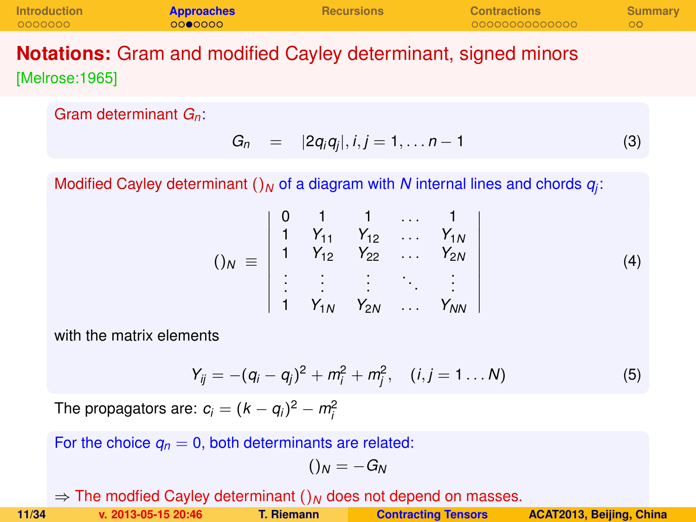| <b>Introduction</b> | <b>Approaches</b> | <b>Recursions</b> | <b>Contractions</b> | Summary |
|---------------------|-------------------|-------------------|---------------------|---------|
| 0000000             | 0000000           |                   | 00000000000000      | $\circ$ |
|                     |                   |                   |                     |         |

### **Notations:** Gram and modified Cayley determinant, signed minors [Melrose:1965]

Gram determinant *Gn*:

$$
G_n = |2q_iq_j|, i,j = 1,... n-1
$$
 (3)

Modified Cayley determinant ()<sub>N</sub> of a diagram with  $N$  internal lines and chords  $q_j$ :

$$
()_{N} \equiv \begin{vmatrix} 0 & 1 & 1 & \dots & 1 \\ 1 & Y_{11} & Y_{12} & \dots & Y_{1N} \\ 1 & Y_{12} & Y_{22} & \dots & Y_{2N} \\ \vdots & \vdots & \vdots & \ddots & \vdots \\ 1 & Y_{1N} & Y_{2N} & \dots & Y_{NN} \end{vmatrix}
$$
 (4)

with the matrix elements

$$
Y_{ij} = -(q_i - q_j)^2 + m_i^2 + m_j^2, \quad (i, j = 1...N)
$$
 (5)

The propagators are:  $c_i = (k - q_i)^2 - m_i^2$ 

For the choice  $q_n = 0$ , both determinants are related:

$$
()_N=-G_N
$$

⇒ The modfied Cayley determinant ()<sub>N</sub> does not depend on masses.

| 11/34 | v. 2013-05-15 20:46 | <b>T. Riemann</b> | <b>Contracting Tensors</b> | ACAT2013, Beijing, China |
|-------|---------------------|-------------------|----------------------------|--------------------------|
|-------|---------------------|-------------------|----------------------------|--------------------------|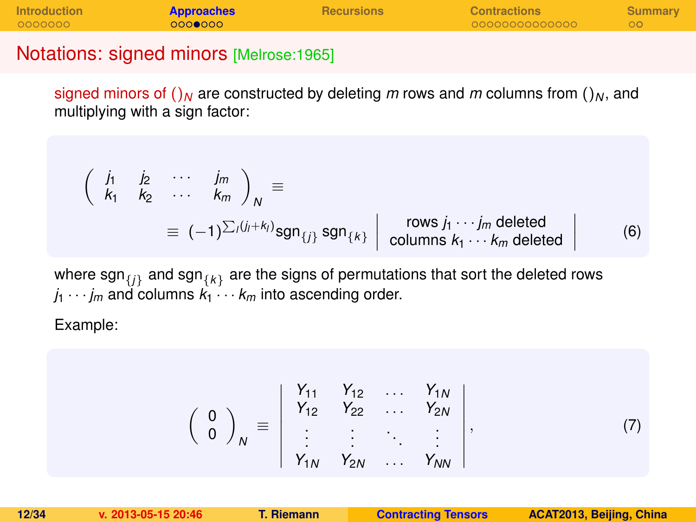| <b>Introduction</b> | <b>Approaches</b> | <b>Recursions</b> | <b>Contractions</b> | Summary   |
|---------------------|-------------------|-------------------|---------------------|-----------|
| 0000000             | 0000000           |                   | 00000000000000      | <b>OO</b> |
|                     |                   |                   |                     |           |

#### Notations: signed minors [Melrose:1965]

signed minors of  $(N<sub>N</sub>)$  are constructed by deleting *m* rows and *m* columns from  $(N<sub>N</sub>)$ , and multiplying with a sign factor:

$$
\begin{pmatrix}\n\dot{J}_1 & \dot{J}_2 & \cdots & \dot{J}_m \\
k_1 & k_2 & \cdots & k_m\n\end{pmatrix}_N \equiv
$$
\n
$$
\equiv (-1)^{\sum_i (j_i + k_i)} \text{sgn}_{\{j\}} \text{sgn}_{\{k\}} \begin{vmatrix}\n\text{rows } j_1 \cdots j_m \text{ deleted} \\
\text{columns } k_1 \cdots k_m \text{ deleted}\n\end{vmatrix}
$$
\n(6)

where  $\mathsf{sgn}_{\{j\}}$  and  $\mathsf{sgn}_{\{k\}}$  are the signs of permutations that sort the deleted rows  $j_1 \cdots j_m$  and columns  $k_1 \cdots k_m$  into ascending order.

Example:

$$
\left(\begin{array}{c} 0 \\ 0 \end{array}\right)_N \equiv \left|\begin{array}{cccc} Y_{11} & Y_{12} & \dots & Y_{1N} \\ Y_{12} & Y_{22} & \dots & Y_{2N} \\ \vdots & \vdots & \ddots & \vdots \\ Y_{1N} & Y_{2N} & \dots & Y_{NN} \end{array}\right|, \tag{7}
$$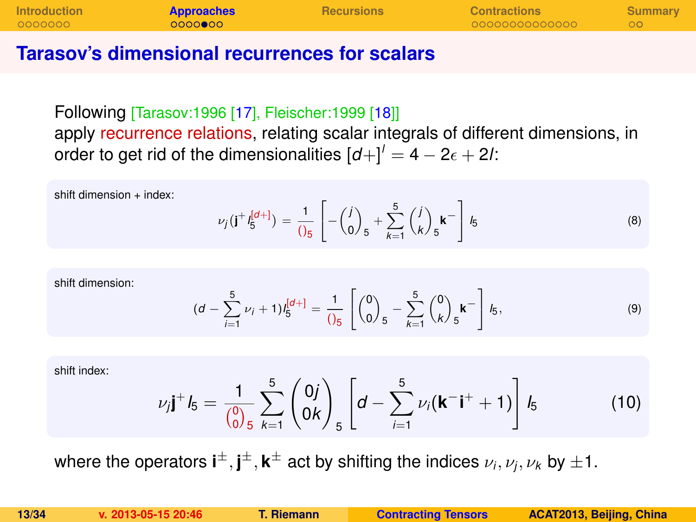| <b>Introduction</b> | <b>Approaches</b> | <b>Recursions</b> | <b>Contractions</b> | Summary |
|---------------------|-------------------|-------------------|---------------------|---------|
| 0000000             | 0000000           |                   | 00000000000000      |         |
|                     |                   |                   |                     |         |

#### **Tarasov's dimensional recurrences for scalars**

Following [Tarasov:1996 [\[17\]](#page-32-1), Fleischer:1999 [\[18\]](#page-32-2)] apply recurrence relations, relating scalar integrals of different dimensions, in order to get rid of the dimensionalities  $\left[d + \right] = 4 - 2\epsilon + 2l$ .

shift dimension + index:

$$
\nu_j(\mathbf{j}^+|_5^{[d+]} ) = \frac{1}{\left(\frac{1}{5}\right)} \left[ -\binom{j}{0} \frac{1}{5} + \sum_{k=1}^5 \binom{j}{k} \frac{k}{5} \right] \, \mathbf{k} \tag{8}
$$

shift dimension:

$$
(d - \sum_{i=1}^{5} \nu_i + 1)l_5^{[d+]} = \frac{1}{0.5} \left[ \binom{0}{0} \frac{1}{5} - \sum_{k=1}^{5} \binom{0}{k} \frac{k}{5} \right] l_5, \tag{9}
$$

shift index:

$$
\nu_j \mathbf{j}^+ \mathbf{l}_5 = \frac{1}{\binom{0}{0.5}} \sum_{k=1}^5 \binom{0j}{0k} \left[ d - \sum_{i=1}^5 \nu_i (\mathbf{k}^- \mathbf{i}^+ + 1) \right] \mathbf{l}_5 \tag{10}
$$

where the operators  $\textbf{i}^{\pm}, \textbf{j}^{\pm}, \textbf{k}^{\pm}$  act by shifting the indices  $\nu_i, \nu_j, \nu_k$  by  $\pm 1.$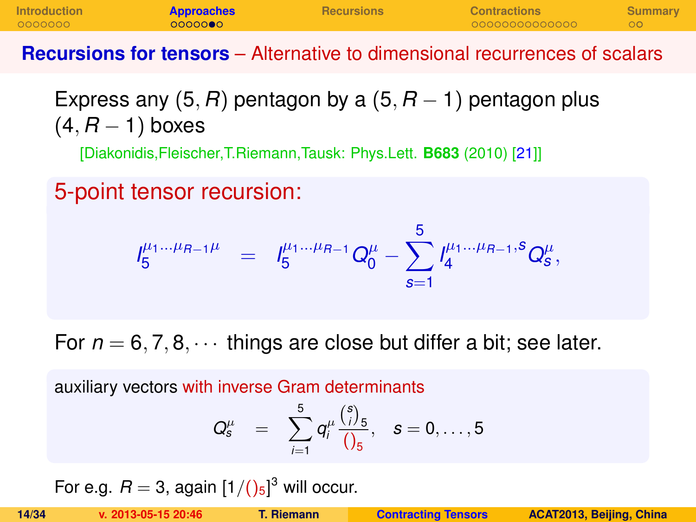| <b>Introduction</b> | <b>Approaches</b> | <b>Recursions</b> | <b>Contractions</b> | Summary |
|---------------------|-------------------|-------------------|---------------------|---------|
| 0000000             | 0000000           |                   | 00000000000000      | ററ      |

**Recursions for tensors** – Alternative to dimensional recurrences of scalars

Express any  $(5, R)$  pentagon by a  $(5, R - 1)$  pentagon plus  $(4, R - 1)$  boxes

[Diakonidis,Fleischer,T.Riemann,Tausk: Phys.Lett. **B683** (2010) [\[21\]](#page-32-5)]

5-point tensor recursion:

$$
I_5^{\mu_1...\mu_{R-1}\mu} = I_5^{\mu_1...\mu_{R-1}}Q_0^{\mu} - \sum_{s=1}^5 I_4^{\mu_1...\mu_{R-1},s}Q_s^{\mu},
$$

For  $n = 6, 7, 8, \cdots$  things are close but differ a bit; see later.

auxiliary vectors with inverse Gram determinants

$$
Q_{s}^{\mu} = \sum_{i=1}^{5} q_{i}^{\mu} \frac{{s \choose i}_5}{0_5}, \quad s = 0, \ldots, 5
$$

For e.g.  $R = 3$ , again  $[1/(\mathcal{C})_5]^3$  will occur.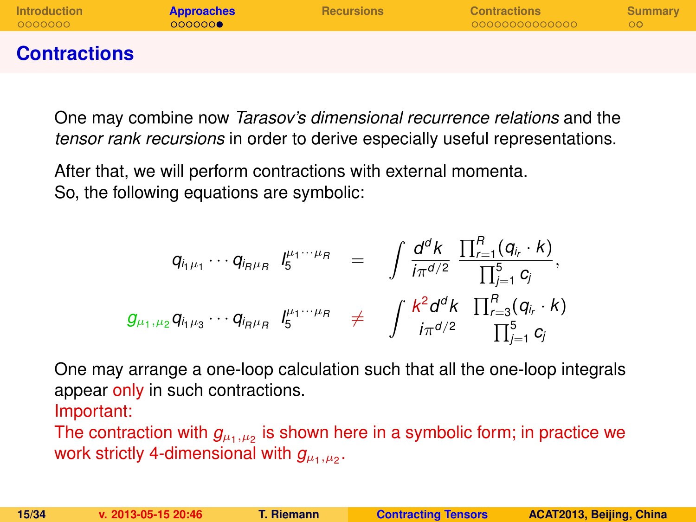| <b>Introduction</b> | <b>Approaches</b> | <b>Recursions</b> | <b>Contractions</b> | Summary |
|---------------------|-------------------|-------------------|---------------------|---------|
| 0000000             | 0000000           |                   | 00000000000000      | റവ      |
| <b>Contractions</b> |                   |                   |                     |         |

One may combine now *Tarasov's dimensional recurrence relations* and the *tensor rank recursions* in order to derive especially useful representations.

After that, we will perform contractions with external momenta. So, the following equations are symbolic:

$$
q_{i_1\mu_1}\cdots q_{i_R\mu_R} \quad l_5^{\mu_1\cdots\mu_R} \quad = \quad \int \frac{d^dk}{i\pi^{d/2}} \; \frac{\prod_{r=1}^R (q_{i_r} \cdot k)}{\prod_{j=1}^5 c_j},
$$
\n
$$
\frac{g_{\mu_1,\mu_2} q_{i_1\mu_3}\cdots q_{i_R\mu_R} \quad l_5^{\mu_1\cdots\mu_R}}{\int \frac{k^2 d^dk}{i\pi^{d/2}} \; \frac{\prod_{r=3}^R (q_{i_r} \cdot k)}{\prod_{j=1}^5 c_j}.
$$

One may arrange a one-loop calculation such that all the one-loop integrals appear only in such contractions. Important:

The contraction with  $g_{\mu_1,\mu_2}$  is shown here in a symbolic form; in practice we work strictly 4-dimensional with  $g_{\mu_1,\mu_2}.$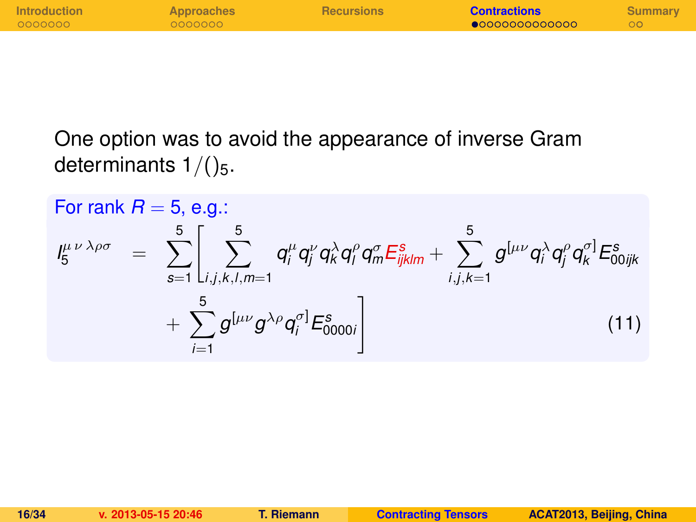| <b>Introduction</b> | <b>Approaches</b> | <b>Recursions</b> | <b>Contractions</b>     | Summary |
|---------------------|-------------------|-------------------|-------------------------|---------|
| 0000000             | 0000000           |                   | $\bullet$ 0000000000000 |         |
|                     |                   |                   |                         |         |

## One option was to avoid the appearance of inverse Gram determinants  $1/()$ <sub>5</sub>.

<span id="page-15-0"></span>For rank 
$$
R = 5
$$
, e.g.:  
\n
$$
\begin{aligned}\n\int_{5}^{\mu \nu \lambda \rho \sigma} &= \sum_{s=1}^{5} \left[ \sum_{i,j,k,l,m=1}^{5} q_{i}^{\mu} q_{j}^{\nu} q_{k}^{\lambda} q_{l}^{\rho} q_{m}^{\sigma} E_{ijklm}^{s} + \sum_{i,j,k=1}^{5} g^{[\mu \nu} q_{i}^{\lambda} q_{j}^{\rho} q_{k}^{\sigma}] E_{00ijk}^{s}\n\end{aligned}
$$
\n
$$
+ \sum_{i=1}^{5} g^{[\mu \nu} g^{\lambda \rho} q_{i}^{\sigma}] E_{0000i}^{s}\right]
$$
\n(11)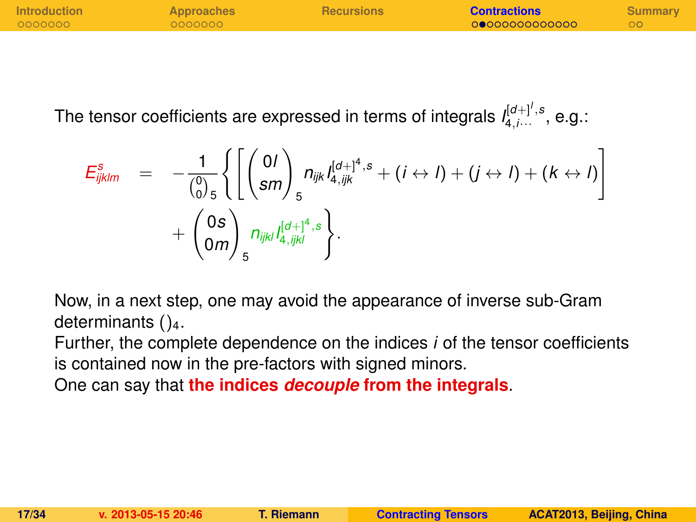| <b>Introduction</b> | <b>Approaches</b> | <b>Recursions</b> | <b>Contractions</b> | Summary |
|---------------------|-------------------|-------------------|---------------------|---------|
| 0000000             | 0000000           |                   | 00000000000000      | ററ      |
|                     |                   |                   |                     |         |

The tensor coefficients are expressed in terms of integrals *I* [*d*+]*<sup>l</sup>* ,*s* 4,*i*··· , e.g.:

$$
E_{ijklm}^s = -\frac{1}{\binom{0}{0.5}} \Biggl\{ \left[ \binom{01}{sm} \frac{n_{ijk} I_{4,ijk}^{[d+]^4,s} + (i \leftrightarrow l) + (j \leftrightarrow l) + (k \leftrightarrow l) \right] + \binom{0s}{0m} \frac{n_{ijkl} I_{4,ijkl}^{[d+]^4,s}}{5} \Biggr\}.
$$

Now, in a next step, one may avoid the appearance of inverse sub-Gram determinants  $()$ <sub>4</sub>.

Further, the complete dependence on the indices *i* of the tensor coefficients is contained now in the pre-factors with signed minors.

One can say that **the indices** *decouple* **from the integrals**.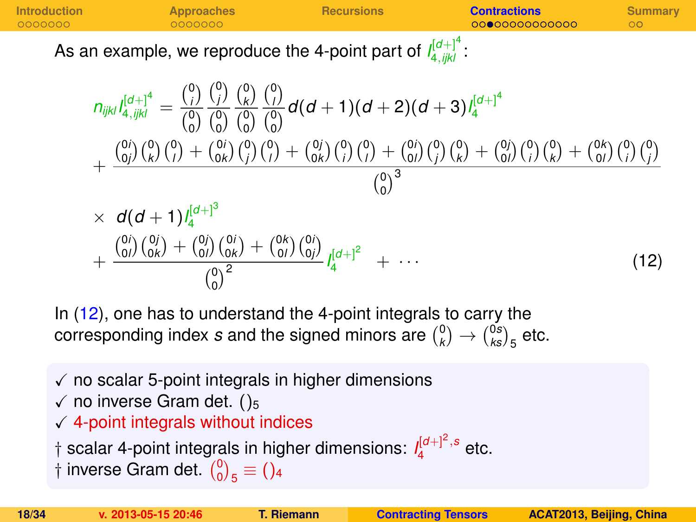| <b>Introduction</b> | <b>Approaches</b>                                                        | <b>Recursions</b> | <b>Contractions</b> | Summary |
|---------------------|--------------------------------------------------------------------------|-------------------|---------------------|---------|
| 0000000             | -0000000-                                                                |                   | 0000000000000       | oο      |
|                     | As an example, we reproduce the 4-point part of $I_{4.ijkl}^{[d+1]^4}$ . |                   |                     |         |

$$
\begin{array}{l} n_{ijkl}I_{4,ijkl}^{[d+]^{4}} = \frac{\binom{0}{i}}{\binom{0}{0}} \frac{\binom{0}{i}}{\binom{0}{0}} \frac{\binom{0}{i}}{\binom{0}{0}} \frac{\binom{0}{i}}{\binom{0}{0}} \binom{0}{0}} \binom{0}{0} \binom{0}{0} \end{array} \begin{array}{l} (d+1)(d+2)(d+3)I_{4}^{[d+1^{4}} \\ + \frac{\binom{0 i}{0}}{\binom{0}{0}} \binom{0}{k} \binom{0}{1} + \binom{0 i}{0 k} \binom{0}{i} \binom{0}{i} + \binom{0}{0} \binom{0}{i} \binom{0}{k} \binom{0}{k} + \binom{0 i}{0} \binom{0}{i} \binom{0}{k} + \binom{0 i}{0} \binom{0}{i} \binom{0}{k} \end{array}
$$
\n
$$
\times d(d+1)I_{4}^{[d+1^{3}]}
$$

<span id="page-17-0"></span>
$$
+\frac{\binom{0i}{0l}\binom{0j}{0k}+\binom{0j}{0l}\binom{0i}{0k}+\binom{0k}{0l}\binom{0j}{0j}}{\binom{0}{0}^2}I_4^{[d+1]^2} + \cdots
$$
\n(12)

In [\(12\)](#page-17-0), one has to understand the 4-point integrals to carry the corresponding index *s* and the signed minors are  $\binom{0}{k} \rightarrow \binom{0s}{ks}_5$  etc.

- $\checkmark$  no scalar 5-point integrals in higher dimensions
- $\checkmark$  no inverse Gram det. ()<sub>5</sub>
- $\sqrt{4}$ -point integrals without indices

† scalar 4-point integrals in higher dimensions:  $I_4^{[d+]^2,s}$  etc.

 $\dagger$  inverse Gram det.  $\binom{0}{0}_5 \equiv ()_4$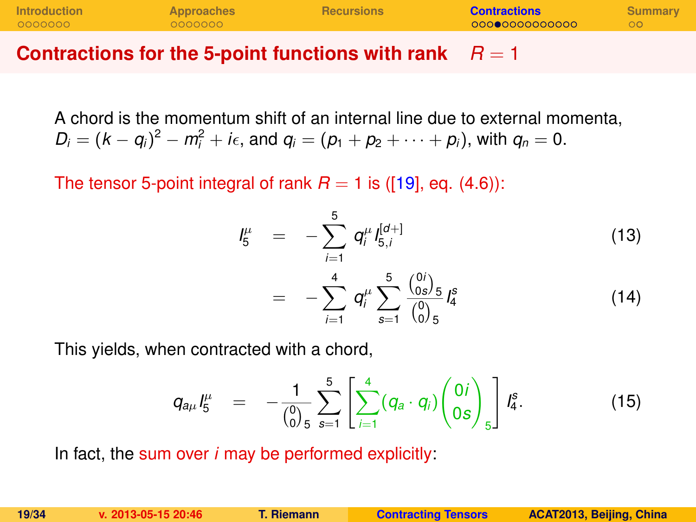| <b>Introduction</b> | Approaches | Recursions | <b>Contractions</b> | Summary |
|---------------------|------------|------------|---------------------|---------|
| 0000000             | 0000000    |            | 0000000000000       | $\circ$ |
|                     |            |            |                     |         |

**Contractions for the 5-point functions with rank**  $R = 1$ 

A chord is the momentum shift of an internal line due to external momenta,  $D_i = (k - q_i)^2 - m_i^2 + i\epsilon$ , and  $q_i = (p_1 + p_2 + \cdots + p_i)$ , with  $q_n = 0$ .

The tensor 5-point integral of rank  $R = 1$  is ([\[19\]](#page-32-3), eq. (4.6)):

$$
I_5^{\mu} = - \sum_{i=1}^5 q_i^{\mu} I_{5,i}^{[d+]} \tag{13}
$$

$$
= - \sum_{i=1}^{4} q_{i}^{\mu} \sum_{s=1}^{5} \frac{\binom{0i}{0s} 5}{\binom{0}{0} 5} I_{4}^{s}
$$
(14)

This yields, when contracted with a chord,

$$
q_{a\mu}I_5^{\mu} = -\frac{1}{\binom{0}{0}} \sum_{s=1}^5 \left[ \sum_{i=1}^4 (q_a \cdot q_i) \binom{0}{0s} \right] I_4^s. \tag{15}
$$

In fact, the sum over *i* may be performed explicitly: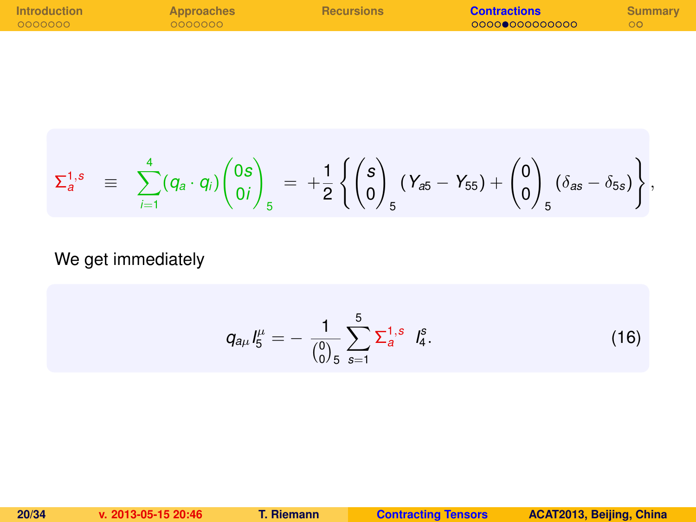| <b>Introduction</b> | <b>Approaches</b> | <b>Recursions</b> | <b>Contractions</b> | Summary |
|---------------------|-------------------|-------------------|---------------------|---------|
| 0000000             | 0000000           |                   | 0000000000000       | $\circ$ |
|                     |                   |                   |                     |         |

$$
\Sigma_a^{1,s} \equiv \sum_{i=1}^4 (q_a \cdot q_i) {0s \choose 0i}_5 = + \frac{1}{2} \left\{ {s \choose 0}_5 (Y_{a5} - Y_{55}) + {0 \choose 0}_5 ( \delta_{as} - \delta_{5s} ) \right\},
$$

### We get immediately

$$
q_{a\mu}I_5^{\mu}=-\frac{1}{\binom{0}{0.5}\sum_{s=1}^5\Sigma_a^{1,s}}I_a^s.
$$
 (16)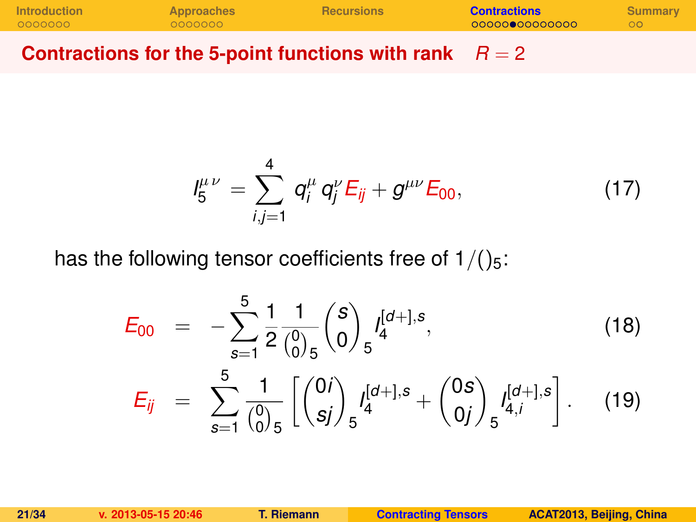| <b>Introduction</b> | <b>Approaches</b> | <b>Recursions</b> | <b>Contractions</b> | Summary |
|---------------------|-------------------|-------------------|---------------------|---------|
| 0000000             | 10000000          |                   | 00000000000000      | OO .    |
|                     |                   |                   |                     |         |

**Contractions for the 5-point functions with rank**  $R = 2$ 

<span id="page-20-0"></span>
$$
I_5^{\mu\nu} = \sum_{i,j=1}^4 q_i^{\mu} q_j^{\nu} E_{ij} + g^{\mu\nu} E_{00}, \qquad (17)
$$

has the following tensor coefficients free of  $1/()_{5}$ :

$$
E_{00} = -\sum_{s=1}^{5} \frac{1}{2} \frac{1}{\binom{0}{0}} \binom{s}{0} f_4^{[d+],s},
$$
\n
$$
E_{ij} = \sum_{s=1}^{5} \frac{1}{\binom{0}{0}} \left[ \binom{0i}{sj} f_5^{[d+],s} + \binom{0s}{0j} f_{4,i}^{[d+],s} \right].
$$
\n(19)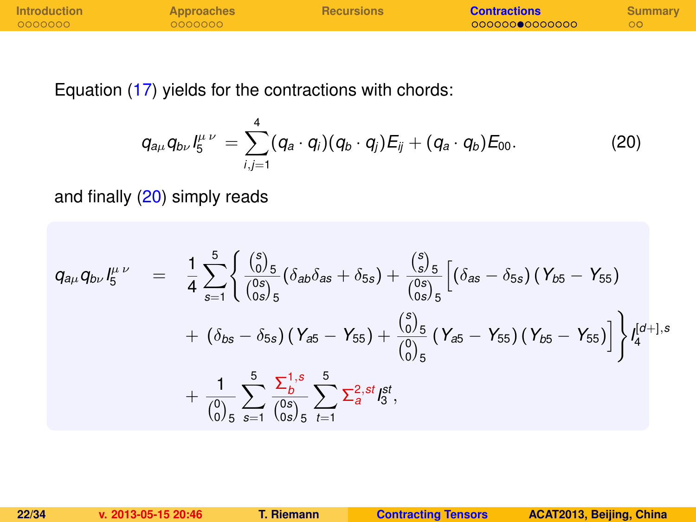| <b>Introduction</b> | Approaches | <b>Recursions</b> | <b>Contractions</b> | Summary |
|---------------------|------------|-------------------|---------------------|---------|
| 0000000             | 0000000    |                   | 00000000000000      |         |
|                     |            |                   |                     |         |

Equation [\(17\)](#page-20-0) yields for the contractions with chords:

<span id="page-21-0"></span>
$$
q_{a\mu}q_{b\nu}l_5^{\mu\nu} = \sum_{i,j=1}^4 (q_a \cdot q_i)(q_b \cdot q_j)E_{ij} + (q_a \cdot q_b)E_{00}.
$$
 (20)

and finally [\(20\)](#page-21-0) simply reads

$$
q_{a\mu}q_{b\nu}I_5^{\mu\nu} = \frac{1}{4}\sum_{s=1}^5 \left\{ \frac{\binom{s}{0.5}}{\binom{0 s}{0.85}} (\delta_{ab}\delta_{as} + \delta_{5s}) + \frac{\binom{s}{s.5}}{\binom{0 s}{0.85}} \left[ (\delta_{as} - \delta_{5s}) (\gamma_{b5} - \gamma_{55}) + (\delta_{b5} - \delta_{5s}) (\gamma_{a5} - \gamma_{55}) + (\delta_{b5} - \delta_{5s}) (\gamma_{a5} - \gamma_{55}) + \frac{\binom{s}{0.5}}{\binom{0}{0.5}} (\gamma_{a5} - \gamma_{55}) (\gamma_{b5} - \gamma_{55}) \right] \right\} I_4^{[d+],s}
$$
  
+ 
$$
\frac{1}{\binom{0}{0.5}} \sum_{s=1}^5 \frac{\sum_{b=1}^{1.5} \sum_{s=1}^5}{\binom{0 s}{0.85}} \sum_{t=1}^5 \sum_{s=1}^{2.5t} I_3^{st},
$$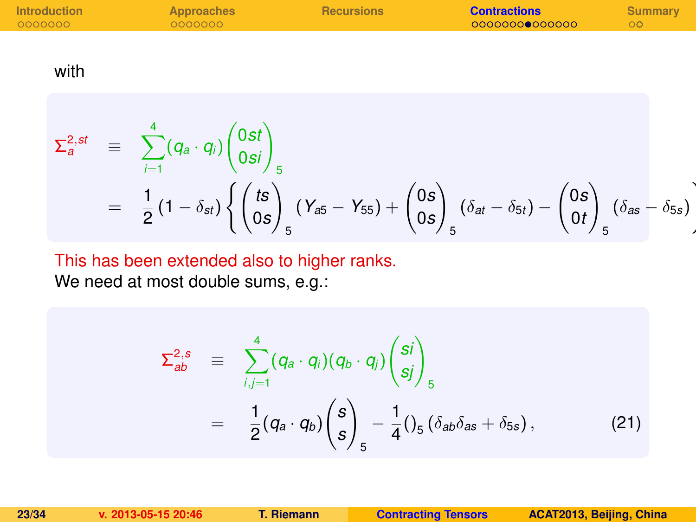| <b>Introduction</b> | <b>Approaches</b> | <b>Recursions</b> | <b>Contractions</b> | Summary |
|---------------------|-------------------|-------------------|---------------------|---------|
| 0000000             | 0000000           |                   | 00000000000000      | ററ      |
|                     |                   |                   |                     |         |

with

$$
\Sigma_{a}^{2,st} \equiv \sum_{i=1}^{4} (q_{a} \cdot q_{i}) \begin{pmatrix} 0st \\ 0si \end{pmatrix}_{5}
$$
  
=  $\frac{1}{2} (1 - \delta_{st}) \left\{ \begin{pmatrix} ts \\ 0s \end{pmatrix}_{5} (Y_{a5} - Y_{55}) + \begin{pmatrix} 0s \\ 0s \end{pmatrix}_{5} (\delta_{at} - \delta_{5t}) - \begin{pmatrix} 0s \\ 0t \end{pmatrix}_{5} (\delta_{as} - \delta_{5s}) \right\}$ 

This has been extended also to higher ranks.

We need at most double sums, e.g.:

$$
\Sigma_{ab}^{2,s} \equiv \sum_{i,j=1}^{4} (q_a \cdot q_i)(q_b \cdot q_j) \begin{pmatrix} si \\ sj \end{pmatrix}_5
$$
  

$$
= \frac{1}{2} (q_a \cdot q_b) \begin{pmatrix} s \\ s \end{pmatrix}_5 - \frac{1}{4} (g_a \cdot \delta_{ab} \delta_{as} + \delta_{5s}), \qquad (21)
$$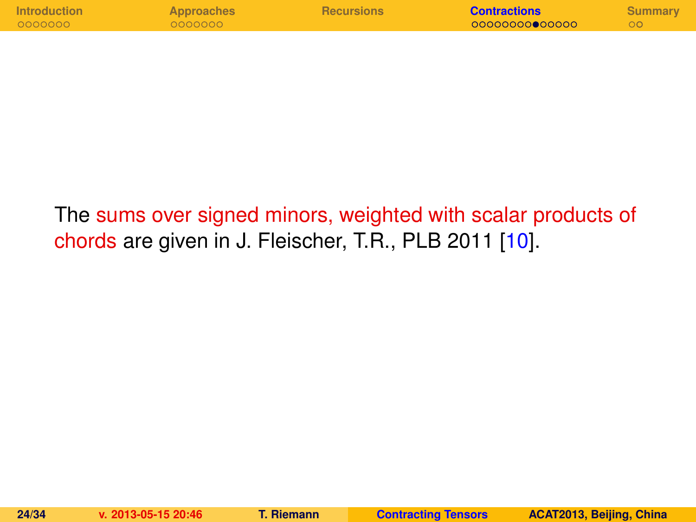| <b>Introduction</b> | <b>Approaches</b> | <b>Recursions</b> | <b>Contractions</b> | Summary |
|---------------------|-------------------|-------------------|---------------------|---------|
| 0000000             | 0000000           |                   | 00000000000000      |         |
|                     |                   |                   |                     |         |

The sums over signed minors, weighted with scalar products of chords are given in J. Fleischer, T.R., PLB 2011 [\[10\]](#page-31-2).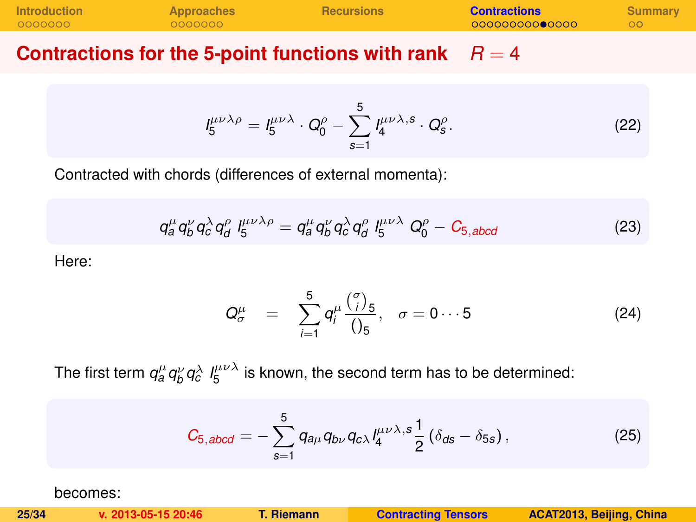| <b>Introduction</b> | <b>Approaches</b> | <b>Recursions</b> | <b>Contractions</b> | Summary |
|---------------------|-------------------|-------------------|---------------------|---------|
| 0000000             | 0000000           |                   | 00000000000000      |         |
|                     |                   |                   |                     |         |

**Contractions for the 5-point functions with rank**  $R = 4$ 

$$
I_5^{\mu\nu\lambda\rho} = I_5^{\mu\nu\lambda} \cdot Q_0^{\rho} - \sum_{s=1}^5 I_4^{\mu\nu\lambda,s} \cdot Q_s^{\rho}.
$$
 (22)

Contracted with chords (differences of external momenta):

$$
q_a^{\mu} q_b^{\nu} q_c^{\lambda} q_d^{\rho} l_5^{\mu\nu\lambda\rho} = q_a^{\mu} q_b^{\nu} q_c^{\lambda} q_d^{\rho} l_5^{\mu\nu\lambda} Q_0^{\rho} - C_{5,abcd}
$$
\n(23)

Here:

$$
Q_{\sigma}^{\mu} = \sum_{i=1}^{5} q_{i}^{\mu} \frac{{\binom{\sigma}{i}}_{5}}{\binom{\sigma}{5}}, \quad \sigma = 0 \cdots 5
$$
 (24)

The first term  $q_a^\mu q_b^\nu q_c^\lambda \; l_5^{\mu\nu\lambda}$  is known, the second term has to be determined:

$$
C_{5,abcd} = -\sum_{s=1}^{5} q_{a\mu} q_{b\nu} q_{c\lambda} l_4^{\mu\nu\lambda,s} \frac{1}{2} (\delta_{ds} - \delta_{5s}), \qquad (25)
$$

becomes: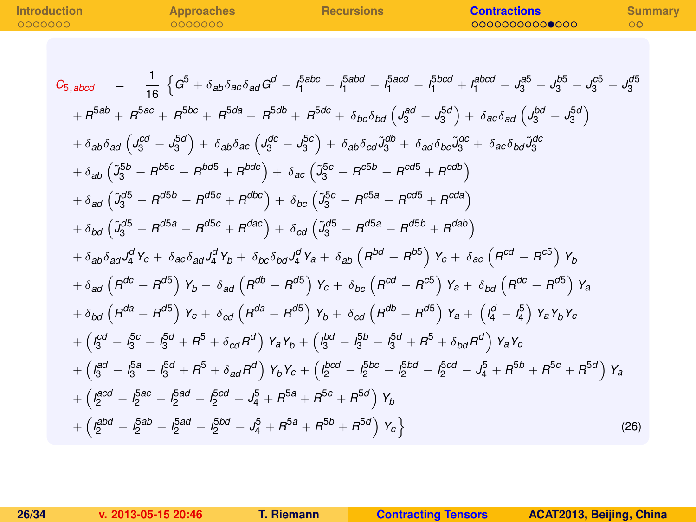$$
C_{5,abcd} = \frac{1}{16} \left\{ G^5 + \delta_{ab}\delta_{ac}\delta_{ad}G^d - f_1^{abbc} - f_1^{5abd} - f_1^{5abd} - f_1^{5bcd} + f_1^{abcd} - J_3^{45} - J_3^{45} - J_3^{45} - J_3^{45}
$$
  
+ 
$$
H_1^{5ab} + H_1^{5ac} + H_1^{5bc} + H_1^{5da} + H_1^{5db} + H_1^{5dc} + \delta_{bc}\delta_{bd} (J_3^{ad} - J_3^{5d}) + \delta_{ac}\delta_{ad} (J_3^{bd} - J_3^{5d}) \right\}
$$
  
+ 
$$
\delta_{ab}\delta_{ad} (J_3^{cd} - J_3^{5d}) + \delta_{ab}\delta_{ac} (J_3^{dc} - J_3^{5c}) + \delta_{ab}\delta_{cd}J_3^{db} + \delta_{ad}\delta_{bc}J_3^{dc} + \delta_{ac}\delta_{bd}J_3^{dc}
$$
  
+ 
$$
\delta_{ab} (J_3^{5b} - H_{0^{5c}} - H_{0^{5c}} + H_{0^{6c}}) + \delta_{ac} (J_3^{5c} - H_{0^{5c}} + H_{0^{6d}}) + \delta_{ac} (J_3^{5c} - H_{0^{6d}} + H_{0^{6d}})
$$
  
+ 
$$
\delta_{bd} (J_3^{d5} - H_{0^{6d}} - H_{0^{6c}} + H_{0^{6d}}) + \delta_{bc} (J_3^{d5} - H_{0^{6d}} - H_{0^{6d}} + H_{0^{6d}})
$$
  
+ 
$$
\delta_{ab}\delta_{ad}J_4^{d} Y_c + \delta_{ac}\delta_{ad}J_4^{d} Y_b + \delta_{bc}\delta_{bd}J_4^{d} Y_a + \delta_{ab} (H_{0^{6d}} - H_{0^{6d}}) Y_c + \delta_{ac} (H_{0^{6d}} - H_{0^{6d}}) Y_a
$$
  
+ 
$$
\delta_{bd} (H_{0^{6a}} - H_{0^{6a}}) Y_c + \delta_{ad} (H_{0^{6a}} - H_{0^{6a}}) Y_c + \delta_{bc} (H_{0^{6a}} - H_{0^{6a}}) Y_a + \delta_{bd} (H_{0^{6a}} - H_{0^{6a}}) Y_a
$$
  
+ 
$$
\delta_{bd}
$$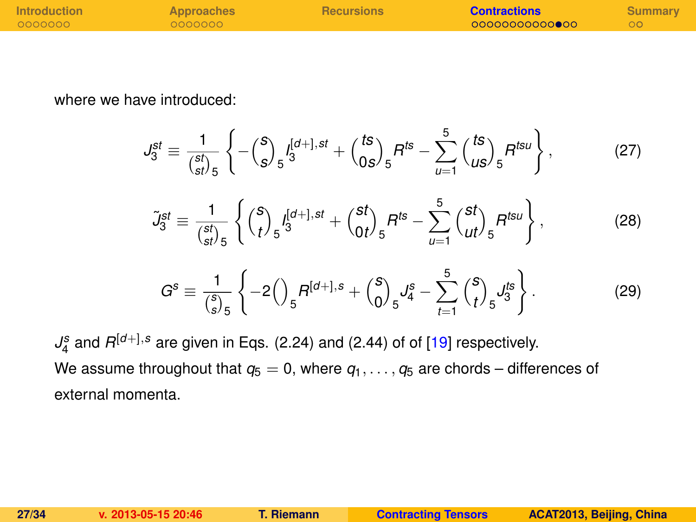| <b>Introduction</b> | Approaches | <b>Recursions</b> | <b>Contractions</b> | Summary |
|---------------------|------------|-------------------|---------------------|---------|
| 0000000             | 0000000    |                   | 00000000000000      | OC      |
|                     |            |                   |                     |         |

where we have introduced:

$$
J_3^{st} = \frac{1}{\binom{st}{st}} \left\{ -\binom{s}{s} \frac{I_1^{[d+1, st]} + \binom{ts}{0s} \frac{I_1^{[d+1, st]} - \sum_{u=1}^5 \binom{ts}{us} \frac{I_1^{[d+1, st]}}{I_2^{[d+1, st]}} \right\},
$$
(27)

$$
\tilde{J}_3^{st} \equiv \frac{1}{\binom{st}{st}_{5}} \left\{ \binom{S}{t}_{5} t_3^{[d+],st} + \binom{st}{0t}_{5} R^{ts} - \sum_{u=1}^{5} \binom{st}{ut}_{5} R^{tsu} \right\},\tag{28}
$$

$$
G^{s} \equiv \frac{1}{\binom{s}{s}_{5}} \left\{ -2 \left( \right)_{5} R^{[d+],s} + \binom{s}{0}_{5} J_{4}^{s} - \sum_{t=1}^{5} \binom{s}{t}_{5} J_{3}^{ts} \right\}.
$$
 (29)

*J s* 4 and *R*[*d*+],*<sup>s</sup>* are given in Eqs. (2.24) and (2.44) of of [\[19\]](#page-32-3) respectively. We assume throughout that  $q_5 = 0$ , where  $q_1, \ldots, q_5$  are chords – differences of external momenta.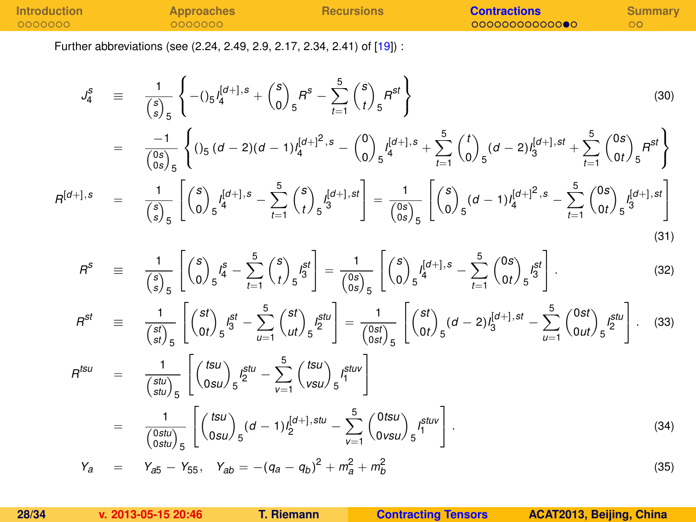| <b>Introduction</b> | <b>Approaches</b> | <b>Recursions</b> | <b>Contractions</b> | Summary |
|---------------------|-------------------|-------------------|---------------------|---------|
| 0000000             | 0000000           |                   | 00000000000000      |         |
|                     |                   |                   |                     |         |

Further abbreviations (see (2.24, 2.49, 2.9, 2.17, 2.34, 2.41) of [\[19\]](#page-32-3)) :

$$
J_4^s = \frac{1}{\binom{s}{s}_5} \left\{ -0.5 \int_4^{[d+],s} + \binom{s}{0}_5 R^s - \sum_{t=1}^5 \binom{s}{t}_5 R^{st} \right\}
$$
\n
$$
= \frac{-1}{\binom{0s}{0s}_5} \left\{ 0.5 (d-2)(d-1) \int_4^{[d+]^2,s} - \binom{0}{0}_5 \int_5^{[d+],s} + \sum_{t=1}^5 \binom{t}{0}_5 (d-2) \int_5^{[d+],st} + \sum_{t=1}^5 \binom{0s}{0t}_5 R^{st} \right\}
$$
\n
$$
(30)
$$

0

$$
R^{[d+],s} = \frac{1}{\binom{s}{s}_5} \left[ \binom{s}{0}_5 t_4^{[d+],s} - \sum_{t=1}^5 \binom{s}{t}_5 t_3^{[d+],st} \right] = \frac{1}{\binom{0s}{0}s}_5 \left[ \binom{s}{0}_5 (d-1) t_4^{[d+]^2,s} - \sum_{t=1}^5 \binom{0s}{0t}_5 t_3^{[d+],st} \right]
$$
\n(31)

0

$$
(\mathsf{a})
$$

0*t*

$$
R^{S} \equiv \frac{1}{\binom{s}{s}_{5}} \left[ \binom{s}{0}_{5} l_{4}^{S} - \sum_{t=1}^{5} \binom{s}{t}_{5} l_{3}^{st} \right] = \frac{1}{\binom{0s}{0s}_{5}} \left[ \binom{s}{0}_{5} l_{4}^{[d+],s} - \sum_{t=1}^{5} \binom{0s}{0t}_{5} l_{3}^{st} \right].
$$
 (32)

$$
R^{st} \equiv \frac{1}{\begin{pmatrix} st \\ st \end{pmatrix}_5} \begin{bmatrix} \begin{pmatrix} st \\ 0 \end{pmatrix}_t \end{bmatrix}_5^{gt} - \sum_{u=1}^5 \begin{pmatrix} st \\ ut \end{pmatrix}_5 t^{gt} \end{bmatrix} = \frac{1}{\begin{pmatrix} 0st \\ 0st \end{pmatrix}_5} \begin{bmatrix} \begin{pmatrix} st \\ 0 \end{pmatrix}_5 (d-2) t_3^{[dt+]} \cdot st - \sum_{u=1}^5 \begin{pmatrix} 0st \\ 0ut \end{pmatrix}_5 t^{gt} \end{bmatrix}.
$$
 (33)

$$
Rfsu = \frac{1}{\left(\frac{stu}{stu}\right)_5} \left[ \left(\frac{tsu}{0su}\right)_5 t_2^{stu} - \sum_{v=1}^5 \left(\frac{tsu}{vsu}\right)_5 t_1^{stuv} \right]
$$
  
= 
$$
\frac{1}{\left(\frac{tsu}{0su}\right)_5} \left[ \left(\frac{tsu}{0su}\right)_5 t_2^{stu} - \sum_{v=1}^5 \left(\frac{0}{vsu}\right)_5 t_1^{stuv} \right].
$$
 (34)

$$
= \frac{1}{\binom{0stu}{0stu}_5} \left[ \binom{tsu}{0su}_5 (d-1) l_2^{[d+1], stu} - \sum_{v=1}^3 \binom{0tsu}{0vsu}_5 l_1^{stuv} \right].
$$
 (34)

 $Y_a$  =  $Y_{a5} - Y_{55}$ ,  $Y_{ab} = -(q_a - q_b)^2 + m_a^2 + m_b^2$ (35)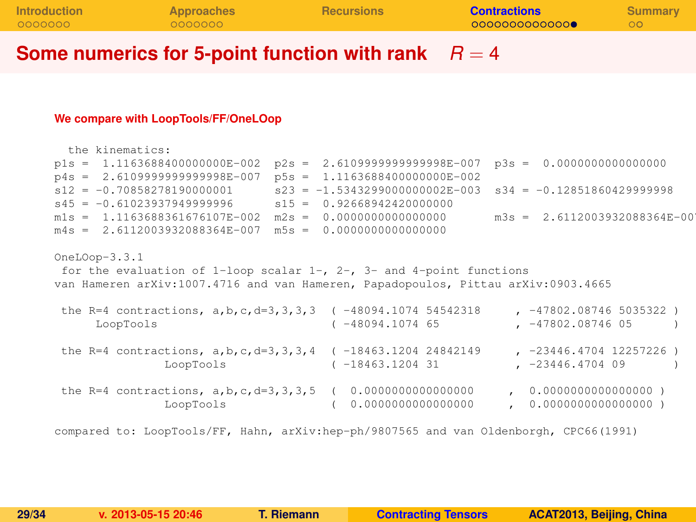| <b>Introduction</b> | <b>Approaches</b> | <b>Recursions</b> | <b>Contractions</b> | Summary |
|---------------------|-------------------|-------------------|---------------------|---------|
| 0000000             | 0000000           |                   | 0000000000000       |         |
|                     |                   |                   |                     |         |

### **Some numerics for 5-point function with rank** *R* = 4

#### **We compare with LoopTools/FF/OneLOop**

| the kinematics:<br>$p1s = 1.1163688400000000E-002$<br>$p4s = 2.610999999999998E-007$<br>$s12 = -0.70858278190000001$<br>$s45 = -0.61023937949999996$<br>$mls = 1.1163688361676107E-002$<br>$m4s = 2.6112003932088364E-007$ | $p2s = 2.610999999999998E-007$<br>$p5s = 1.1163688400000000E-002$<br>$s23 = -1.5343299000000002E-003$<br>$s15 = 0.92668942420000000$<br>$m2s = 0.0000000000000000$<br>$m5s = 0.0000000000000000$ | $p3s = 0.0000000000000000$<br>$s34 = -0.12851860429999998$<br>$m3s = 2.6112003932088364E-001$ |
|----------------------------------------------------------------------------------------------------------------------------------------------------------------------------------------------------------------------------|--------------------------------------------------------------------------------------------------------------------------------------------------------------------------------------------------|-----------------------------------------------------------------------------------------------|
| $OneLoop-3.3.1$                                                                                                                                                                                                            | for the evaluation of 1-loop scalar $1-$ , $2-$ , $3-$ and 4-point functions<br>van Hameren arXiv:1007.4716 and van Hameren, Papadopoulos, Pittau arXiv:0903.4665                                |                                                                                               |
| LoopTools                                                                                                                                                                                                                  | the R=4 contractions, $a, b, c, d=3, 3, 3, 3$ ( -48094.1074 54542318<br>$(-48094.107465$                                                                                                         | $, -47802.087465035322)$<br>$, -47802.0874605$                                                |
| LoopTools                                                                                                                                                                                                                  | the R=4 contractions, $a, b, c, d=3, 3, 3, 4$ ( $-18463.1204$ 24842149<br>$(-18463, 1204$ 31                                                                                                     | $, -23446.4704$ 12257226)<br>$-23446.470409$ )                                                |
| LoopTools                                                                                                                                                                                                                  |                                                                                                                                                                                                  | 0.0000000000000000<br>0.0000000000000000<br>$\overline{ }$                                    |

compared to: LoopTools/FF, Hahn, arXiv:hep-ph/9807565 and van Oldenborgh, CPC66(1991)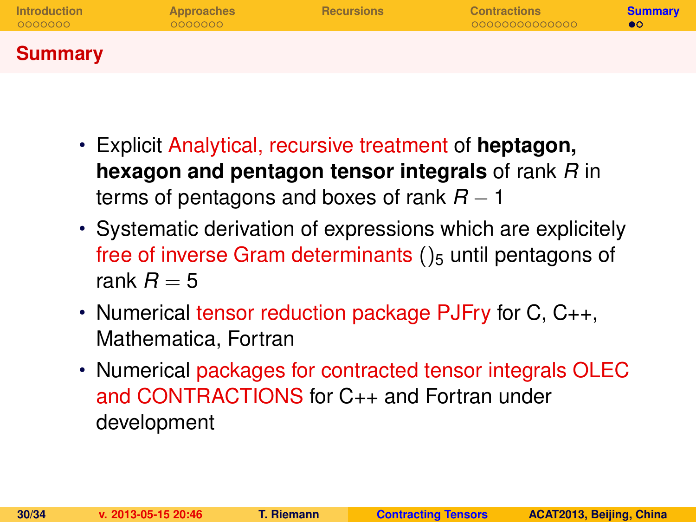| <b>Introduction</b> | Approaches | <b>Recursions</b> | <b>Contractions</b> | <b>Summary</b> |
|---------------------|------------|-------------------|---------------------|----------------|
| 0000000             | 0000000    |                   | 00000000000000      | $\bullet$      |
| <b>Summary</b>      |            |                   |                     |                |

- Explicit Analytical, recursive treatment of **heptagon, hexagon and pentagon tensor integrals** of rank *R* in terms of pentagons and boxes of rank  $R-1$
- Systematic derivation of expressions which are explicitely free of inverse Gram determinants  $()_5$  until pentagons of rank  $R-5$
- Numerical tensor reduction package PJFry for C, C++, Mathematica, Fortran
- <span id="page-29-0"></span>• Numerical packages for contracted tensor integrals OLEC and CONTRACTIONS for C++ and Fortran under development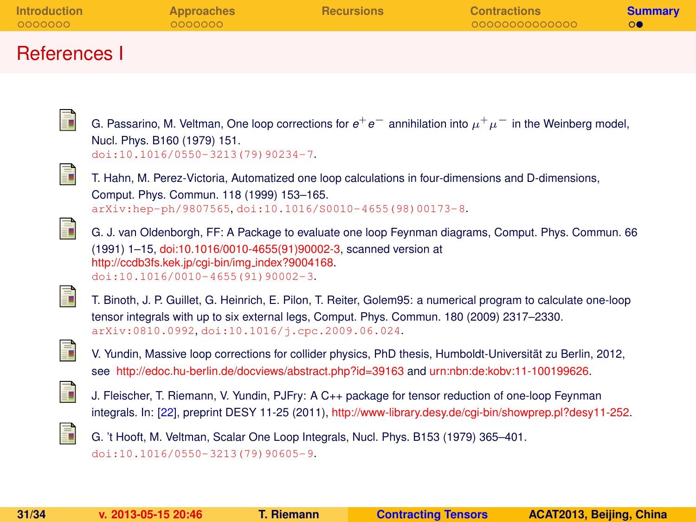| <b>Introduction</b><br>0000000 | Approaches<br>0000000 | <b>Recursions</b> | <b>Contractions</b><br>00000000000000 | <b>Summary</b> |
|--------------------------------|-----------------------|-------------------|---------------------------------------|----------------|
| References I                   |                       |                   |                                       |                |

<span id="page-30-0"></span>

G. Passarino, M. Veltman, One loop corrections for  $e^+e^-$  annihilation into  $\mu^+\mu^-$  in the Weinberg model, Nucl. Phys. B160 (1979) 151. [doi:10.1016/0550-3213\(79\)90234-7](http://dx.doi.org/10.1016/0550-3213(79)90234-7).

<span id="page-30-1"></span>

T. Hahn, M. Perez-Victoria, Automatized one loop calculations in four-dimensions and D-dimensions, Comput. Phys. Commun. 118 (1999) 153–165. [arXiv:hep-ph/9807565](http://arxiv.org/abs/hep-ph/9807565), [doi:10.1016/S0010-4655\(98\)00173-8](http://dx.doi.org/10.1016/S0010-4655(98)00173-8).

<span id="page-30-2"></span>

G. J. van Oldenborgh, FF: A Package to evaluate one loop Feynman diagrams, Comput. Phys. Commun. 66 (1991) 1–15, [doi:10.1016/0010-4655\(91\)90002-3,](http://dx.doi.org/10.1016/0010-4655(91)90002-3) scanned version at [http://ccdb3fs.kek.jp/cgi-bin/img](http://ccdb3fs.kek.jp/cgi-bin/img_index?9004168) index?9004168. [doi:10.1016/0010-4655\(91\)90002-3](http://dx.doi.org/10.1016/0010-4655(91)90002-3).

<span id="page-30-3"></span>

T. Binoth, J. P. Guillet, G. Heinrich, E. Pilon, T. Reiter, Golem95: a numerical program to calculate one-loop tensor integrals with up to six external legs, Comput. Phys. Commun. 180 (2009) 2317–2330. [arXiv:0810.0992](http://arxiv.org/abs/0810.0992), [doi:10.1016/j.cpc.2009.06.024](http://dx.doi.org/10.1016/j.cpc.2009.06.024).

<span id="page-30-4"></span>

V. Yundin, Massive loop corrections for collider physics, PhD thesis, Humboldt-Universitat zu Berlin, 2012, ¨ see <http://edoc.hu-berlin.de/docviews/abstract.php?id=39163> and [urn:nbn:de:kobv:11-100199626.](urn:nbn:de:kobv:11-100199626)

<span id="page-30-5"></span>

J. Fleischer, T. Riemann, V. Yundin, PJFry: A C++ package for tensor reduction of one-loop Feynman integrals. In: [\[22\]](#page-33-1), preprint DESY 11-25 (2011), [http://www-library.desy.de/cgi-bin/showprep.pl?desy11-252.](http://www-library.desy.de/cgi-bin/showprep.pl?desy11-252)

<span id="page-30-6"></span>

G. 't Hooft, M. Veltman, Scalar One Loop Integrals, Nucl. Phys. B153 (1979) 365–401. [doi:10.1016/0550-3213\(79\)90605-9](http://dx.doi.org/10.1016/0550-3213(79)90605-9).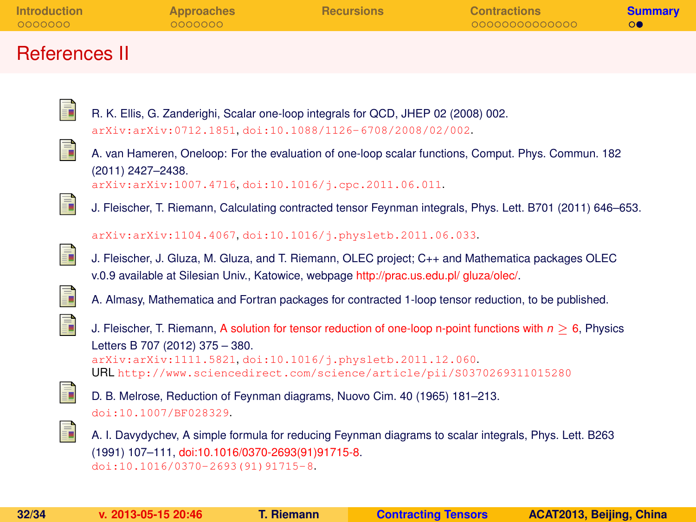<span id="page-31-2"></span><span id="page-31-1"></span><span id="page-31-0"></span>

| <b>Introduction</b><br>0000000 | <b>Approaches</b><br>0000000                                                                                                                                                                                                                               | <b>Recursions</b> | <b>Contractions</b><br>0000000000000 | <b>Summary</b><br>$\circ$ |  |
|--------------------------------|------------------------------------------------------------------------------------------------------------------------------------------------------------------------------------------------------------------------------------------------------------|-------------------|--------------------------------------|---------------------------|--|
| <b>References II</b>           |                                                                                                                                                                                                                                                            |                   |                                      |                           |  |
| F                              | R. K. Ellis, G. Zanderighi, Scalar one-loop integrals for QCD, JHEP 02 (2008) 002.<br>arXiv:arXiv:0712.1851.doi:10.1088/1126-6708/2008/02/002.                                                                                                             |                   |                                      |                           |  |
| H                              | A. van Hameren, Oneloop: For the evaluation of one-loop scalar functions, Comput. Phys. Commun. 182<br>(2011) 2427-2438.<br>arXiv: arXiv: 1007.4716.doi: 10.1016/j.cpc.2011.06.011.                                                                        |                   |                                      |                           |  |
| E                              | J. Fleischer, T. Riemann, Calculating contracted tensor Feynman integrals, Phys. Lett. B701 (2011) 646–653.                                                                                                                                                |                   |                                      |                           |  |
| F                              | arXiv:arXiv:1104.4067.doi:10.1016/j.physletb.2011.06.033.<br>J. Fleischer, J. Gluza, M. Gluza, and T. Riemann, OLEC project; C++ and Mathematica packages OLEC<br>v.0.9 available at Silesian Univ., Katowice, webpage http://prac.us.edu.pl/ gluza/olec/. |                   |                                      |                           |  |
| F                              | A. Almasy, Mathematica and Fortran packages for contracted 1-loop tensor reduction, to be published.                                                                                                                                                       |                   |                                      |                           |  |
| F                              | J. Fleischer, T. Riemann, A solution for tensor reduction of one-loop n-point functions with $n > 6$ . Physics<br>Letters B 707 (2012) 375 - 380.<br>arXiv: arXiv: 1111.5821, doi: 10.1016/j.physletb.2011.12.060.                                         |                   |                                      |                           |  |
| H                              | URLhttp://www.sciencedirect.com/science/article/pii/S0370269311015280<br>D. B. Melrose, Reduction of Feynman diagrams, Nuovo Cim. 40 (1965) 181-213.                                                                                                       |                   |                                      |                           |  |
| F                              | doi:10.1007/BF028329.                                                                                                                                                                                                                                      |                   |                                      |                           |  |
|                                | A. I. Davydychev, A simple formula for reducing Feynman diagrams to scalar integrals, Phys. Lett. B263<br>(1991) 107-111, doi:10.1016/0370-2693(91)91715-8.                                                                                                |                   |                                      |                           |  |

<span id="page-31-7"></span><span id="page-31-6"></span><span id="page-31-5"></span><span id="page-31-4"></span><span id="page-31-3"></span>[doi:10.1016/0370-2693\(91\)91715-8](http://dx.doi.org/10.1016/0370-2693(91)91715-8).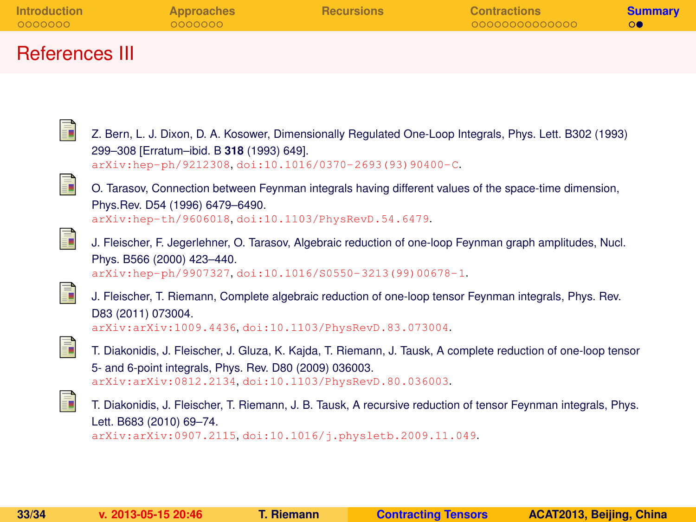<span id="page-32-0"></span>

| <b>Introduction</b><br>0000000 | <b>Approaches</b><br>0000000                                                                                                                                                                                    | <b>Recursions</b> | <b>Contractions</b><br>0000000000000 | <b>Summary</b><br>$\circ$ |  |
|--------------------------------|-----------------------------------------------------------------------------------------------------------------------------------------------------------------------------------------------------------------|-------------------|--------------------------------------|---------------------------|--|
| <b>References III</b>          |                                                                                                                                                                                                                 |                   |                                      |                           |  |
|                                |                                                                                                                                                                                                                 |                   |                                      |                           |  |
|                                | Z. Bern, L. J. Dixon, D. A. Kosower, Dimensionally Regulated One-Loop Integrals, Phys. Lett. B302 (1993)<br>299-308 [Erratum-ibid. B 318 (1993) 649].<br>arXiv:hep-ph/9212308.doi:10.1016/0370-2693(93)90400-C. |                   |                                      |                           |  |
| F                              | O. Tarasov, Connection between Feynman integrals having different values of the space-time dimension,<br>Phys.Rev. D54 (1996) 6479-6490.<br>arXiv:hep-th/9606018.doi:10.1103/PhysRevD.54.6479.                  |                   |                                      |                           |  |
| F                              | J. Fleischer, F. Jegerlehner, O. Tarasov, Algebraic reduction of one-loop Feynman graph amplitudes, Nucl.<br>Phys. B566 (2000) 423-440.<br>arXiv:hep-ph/9907327,doi:10.1016/S0550-3213(99)00678-1.              |                   |                                      |                           |  |
| R                              | J. Fleischer, T. Riemann, Complete algebraic reduction of one-loop tensor Feynman integrals, Phys. Rev.<br>D83 (2011) 073004.                                                                                   |                   |                                      |                           |  |

<span id="page-32-3"></span><span id="page-32-2"></span><span id="page-32-1"></span>[arXiv:arXiv:1009.4436](http://arxiv.org/abs/arXiv:1009.4436), [doi:10.1103/PhysRevD.83.073004](http://dx.doi.org/10.1103/PhysRevD.83.073004).

<span id="page-32-4"></span>

T. Diakonidis, J. Fleischer, J. Gluza, K. Kajda, T. Riemann, J. Tausk, A complete reduction of one-loop tensor 5- and 6-point integrals, Phys. Rev. D80 (2009) 036003. [arXiv:arXiv:0812.2134](http://arxiv.org/abs/arXiv:0812.2134), [doi:10.1103/PhysRevD.80.036003](http://dx.doi.org/10.1103/PhysRevD.80.036003).

<span id="page-32-5"></span>

T. Diakonidis, J. Fleischer, T. Riemann, J. B. Tausk, A recursive reduction of tensor Feynman integrals, Phys. Lett. B683 (2010) 69–74. [arXiv:arXiv:0907.2115](http://arxiv.org/abs/arXiv:0907.2115), [doi:10.1016/j.physletb.2009.11.049](http://dx.doi.org/10.1016/j.physletb.2009.11.049).